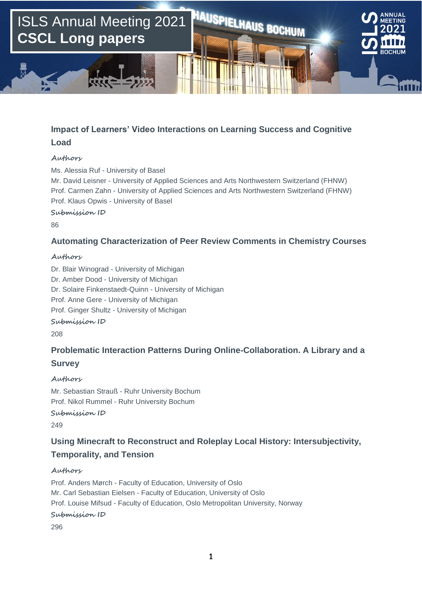

## **Impact of Learners' Video Interactions on Learning Success and Cognitive Load**

#### **Authors**

Ms. Alessia Ruf - University of Basel Mr. David Leisner - University of Applied Sciences and Arts Northwestern Switzerland (FHNW) Prof. Carmen Zahn - University of Applied Sciences and Arts Northwestern Switzerland (FHNW) Prof. Klaus Opwis - University of Basel

**Submission ID**

86

## **Automating Characterization of Peer Review Comments in Chemistry Courses**

#### **Authors**

Dr. Blair Winograd - University of Michigan Dr. Amber Dood - University of Michigan Dr. Solaire Finkenstaedt-Quinn - University of Michigan Prof. Anne Gere - University of Michigan Prof. Ginger Shultz - University of Michigan

**Submission ID**

208

## **Problematic Interaction Patterns During Online-Collaboration. A Library and a Survey**

#### **Authors**

Mr. Sebastian Strauß - Ruhr University Bochum Prof. Nikol Rummel - Ruhr University Bochum

**Submission ID**

249

## **Using Minecraft to Reconstruct and Roleplay Local History: Intersubjectivity, Temporality, and Tension**

#### **Authors**

Prof. Anders Mørch - Faculty of Education, University of Oslo Mr. Carl Sebastian Eielsen - Faculty of Education, University of Oslo Prof. Louise Mifsud - Faculty of Education, Oslo Metropolitan University, Norway

**Submission ID**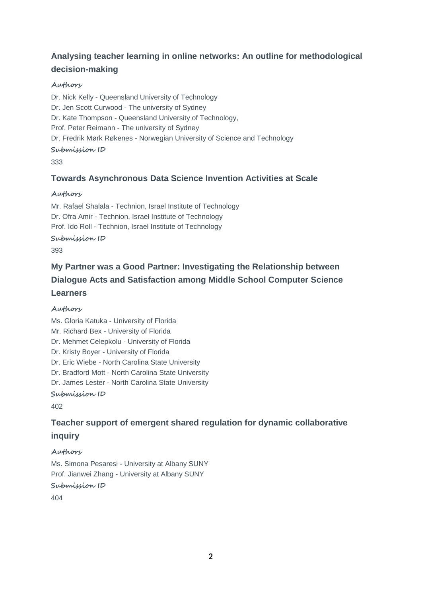# **Analysing teacher learning in online networks: An outline for methodological decision-making**

### **Authors**

Dr. Nick Kelly - Queensland University of Technology Dr. Jen Scott Curwood - The university of Sydney Dr. Kate Thompson - Queensland University of Technology, Prof. Peter Reimann - The university of Sydney Dr. Fredrik Mørk Røkenes - Norwegian University of Science and Technology **Submission ID**

#### 333

## **Towards Asynchronous Data Science Invention Activities at Scale**

#### **Authors**

Mr. Rafael Shalala - Technion, Israel Institute of Technology Dr. Ofra Amir - Technion, Israel Institute of Technology Prof. Ido Roll - Technion, Israel Institute of Technology **Submission ID**

#### 393

# **My Partner was a Good Partner: Investigating the Relationship between Dialogue Acts and Satisfaction among Middle School Computer Science Learners**

#### **Authors**

Ms. Gloria Katuka - University of Florida Mr. Richard Bex - University of Florida Dr. Mehmet Celepkolu - University of Florida Dr. Kristy Boyer - University of Florida Dr. Eric Wiebe - North Carolina State University Dr. Bradford Mott - North Carolina State University Dr. James Lester - North Carolina State University **Submission ID**

402

## **Teacher support of emergent shared regulation for dynamic collaborative inquiry**

#### **Authors**

Ms. Simona Pesaresi - University at Albany SUNY Prof. Jianwei Zhang - University at Albany SUNY **Submission ID**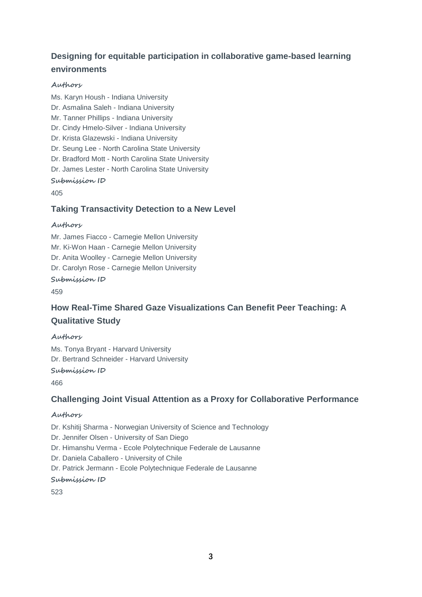# **Designing for equitable participation in collaborative game-based learning environments**

### **Authors**

Ms. Karyn Housh - Indiana University Dr. Asmalina Saleh - Indiana University Mr. Tanner Phillips - Indiana University Dr. Cindy Hmelo-Silver - Indiana University Dr. Krista Glazewski - Indiana University Dr. Seung Lee - North Carolina State University Dr. Bradford Mott - North Carolina State University Dr. James Lester - North Carolina State University **Submission ID**

405

## **Taking Transactivity Detection to a New Level**

#### **Authors**

Mr. James Fiacco - Carnegie Mellon University Mr. Ki-Won Haan - Carnegie Mellon University Dr. Anita Woolley - Carnegie Mellon University Dr. Carolyn Rose - Carnegie Mellon University **Submission ID**

459

## **How Real-Time Shared Gaze Visualizations Can Benefit Peer Teaching: A Qualitative Study**

#### **Authors**

Ms. Tonya Bryant - Harvard University Dr. Bertrand Schneider - Harvard University

## **Submission ID**

466

## **Challenging Joint Visual Attention as a Proxy for Collaborative Performance**

#### **Authors**

Dr. Kshitij Sharma - Norwegian University of Science and Technology Dr. Jennifer Olsen - University of San Diego Dr. Himanshu Verma - Ecole Polytechnique Federale de Lausanne Dr. Daniela Caballero - University of Chile Dr. Patrick Jermann - Ecole Polytechnique Federale de Lausanne **Submission ID**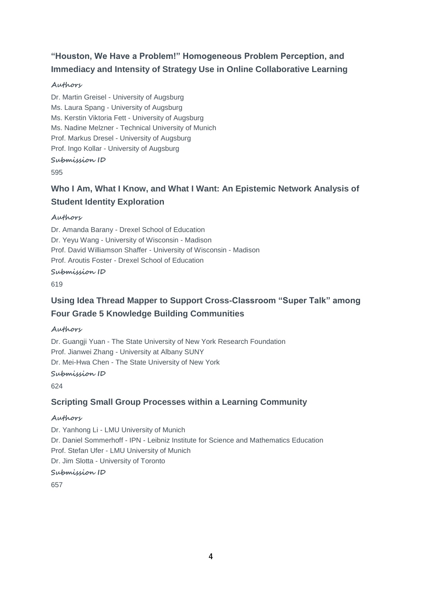# **"Houston, We Have a Problem!" Homogeneous Problem Perception, and Immediacy and Intensity of Strategy Use in Online Collaborative Learning**

## **Authors**

Dr. Martin Greisel - University of Augsburg Ms. Laura Spang - University of Augsburg Ms. Kerstin Viktoria Fett - University of Augsburg Ms. Nadine Melzner - Technical University of Munich Prof. Markus Dresel - University of Augsburg Prof. Ingo Kollar - University of Augsburg **Submission ID** 595

## **Who I Am, What I Know, and What I Want: An Epistemic Network Analysis of Student Identity Exploration**

## **Authors**

Dr. Amanda Barany - Drexel School of Education Dr. Yeyu Wang - University of Wisconsin - Madison Prof. David Williamson Shaffer - University of Wisconsin - Madison Prof. Aroutis Foster - Drexel School of Education

#### **Submission ID**

619

# **Using Idea Thread Mapper to Support Cross-Classroom "Super Talk" among Four Grade 5 Knowledge Building Communities**

## **Authors**

Dr. Guangji Yuan - The State University of New York Research Foundation Prof. Jianwei Zhang - University at Albany SUNY Dr. Mei-Hwa Chen - The State University of New York

#### **Submission ID**

624

## **Scripting Small Group Processes within a Learning Community**

#### **Authors**

Dr. Yanhong Li - LMU University of Munich Dr. Daniel Sommerhoff - IPN - Leibniz Institute for Science and Mathematics Education Prof. Stefan Ufer - LMU University of Munich Dr. Jim Slotta - University of Toronto **Submission ID**